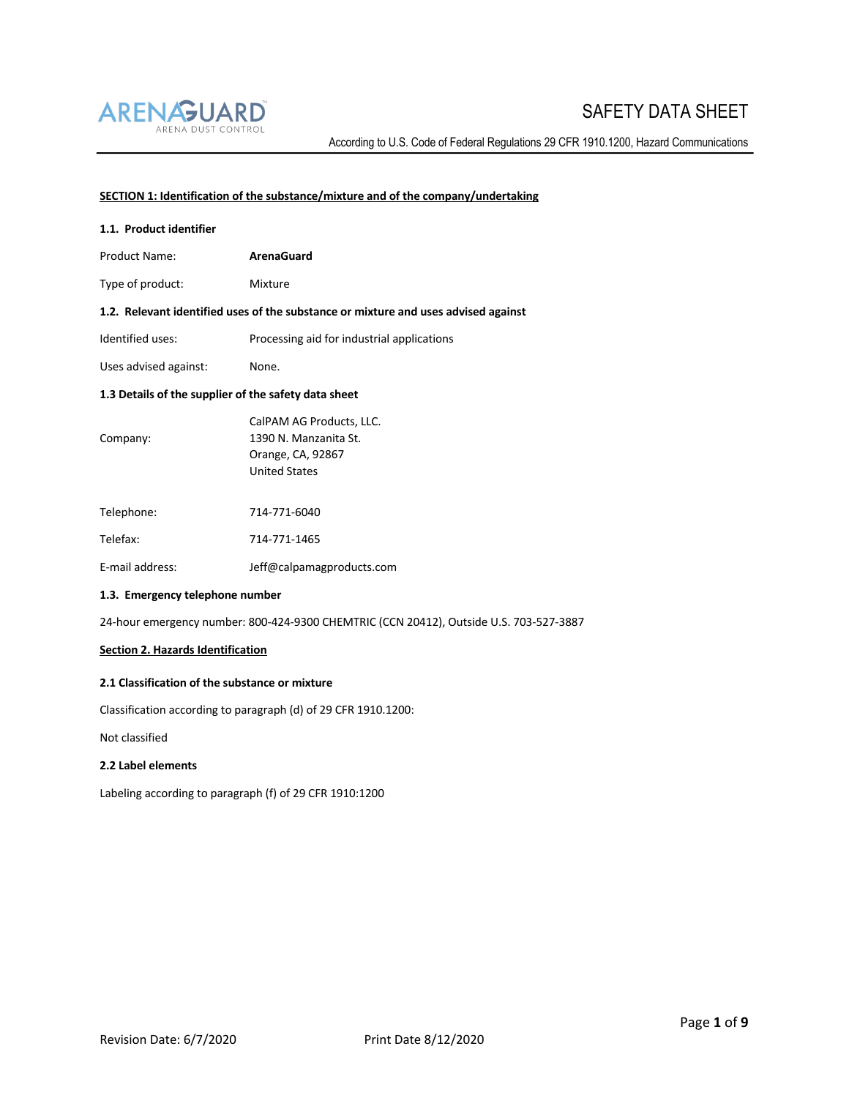

According to U.S. Code of Federal Regulations 29 CFR 1910.1200, Hazard Communications

## **SECTION 1: Identification of the substance/mixture and of the company/undertaking**

| 1.1. Product identifier                                                            |                                                                                                |  |
|------------------------------------------------------------------------------------|------------------------------------------------------------------------------------------------|--|
| <b>Product Name:</b>                                                               | <b>ArenaGuard</b>                                                                              |  |
| Type of product:                                                                   | Mixture                                                                                        |  |
| 1.2. Relevant identified uses of the substance or mixture and uses advised against |                                                                                                |  |
| Identified uses:                                                                   | Processing aid for industrial applications                                                     |  |
| Uses advised against:                                                              | None.                                                                                          |  |
| 1.3 Details of the supplier of the safety data sheet                               |                                                                                                |  |
| Company:                                                                           | CalPAM AG Products, LLC.<br>1390 N. Manzanita St.<br>Orange, CA, 92867<br><b>United States</b> |  |
| Telephone:                                                                         | 714-771-6040                                                                                   |  |
| Telefax:                                                                           | 714-771-1465                                                                                   |  |
|                                                                                    |                                                                                                |  |

E-mail address: Jeff@calpamagproducts.com

### **1.3. Emergency telephone number**

24-hour emergency number: 800-424-9300 CHEMTRIC (CCN 20412), Outside U.S. 703-527-3887

### **Section 2. Hazards Identification**

### **2.1 Classification of the substance or mixture**

Classification according to paragraph (d) of 29 CFR 1910.1200:

Not classified

### **2.2 Label elements**

Labeling according to paragraph (f) of 29 CFR 1910:1200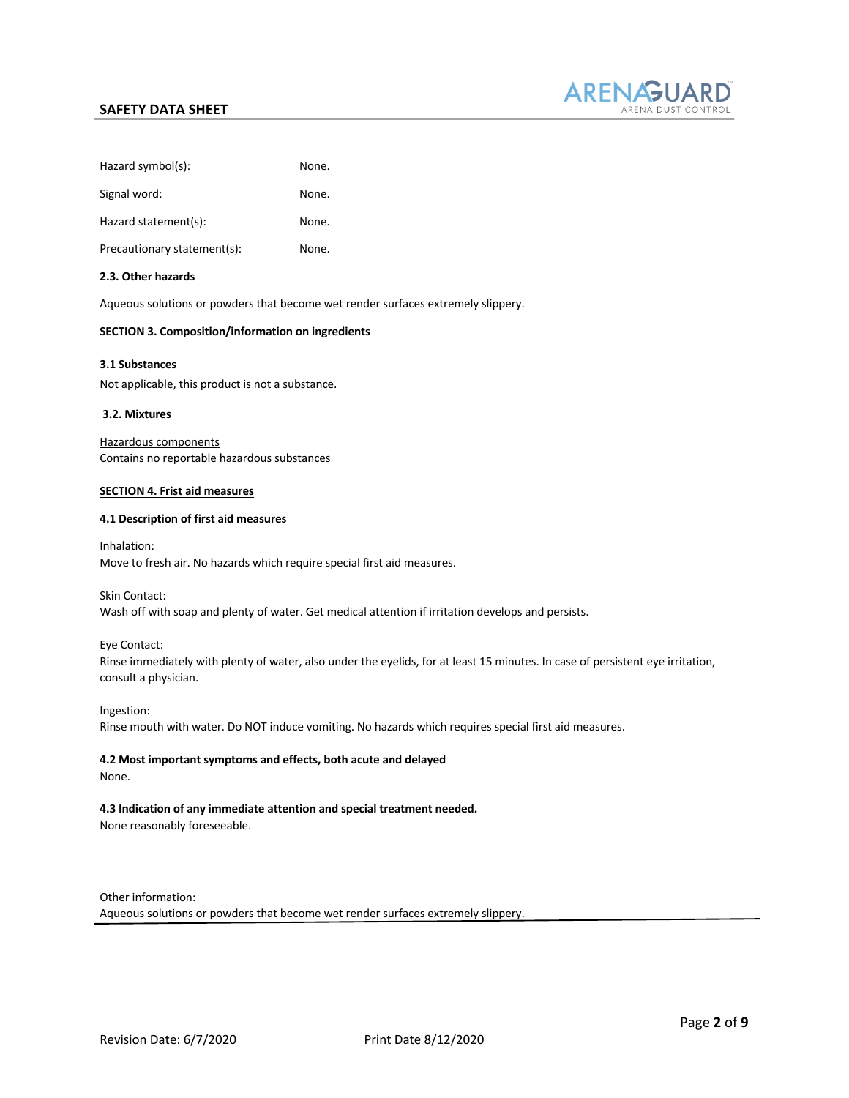

| Hazard symbol(s):           | None. |
|-----------------------------|-------|
| Signal word:                | None. |
| Hazard statement(s):        | None. |
| Precautionary statement(s): | None. |
|                             |       |

### **2.3. Other hazards**

Aqueous solutions or powders that become wet render surfaces extremely slippery.

### **SECTION 3. Composition/information on ingredients**

### **3.1 Substances**

Not applicable, this product is not a substance.

### **3.2. Mixtures**

Hazardous components Contains no reportable hazardous substances

### **SECTION 4. Frist aid measures**

### **4.1 Description of first aid measures**

Inhalation: Move to fresh air. No hazards which require special first aid measures.

Skin Contact:

Wash off with soap and plenty of water. Get medical attention if irritation develops and persists.

### Eye Contact:

Rinse immediately with plenty of water, also under the eyelids, for at least 15 minutes. In case of persistent eye irritation, consult a physician.

Ingestion: Rinse mouth with water. Do NOT induce vomiting. No hazards which requires special first aid measures.

# **4.2 Most important symptoms and effects, both acute and delayed**

None.

### **4.3 Indication of any immediate attention and special treatment needed.**

None reasonably foreseeable.

Other information:

Aqueous solutions or powders that become wet render surfaces extremely slippery.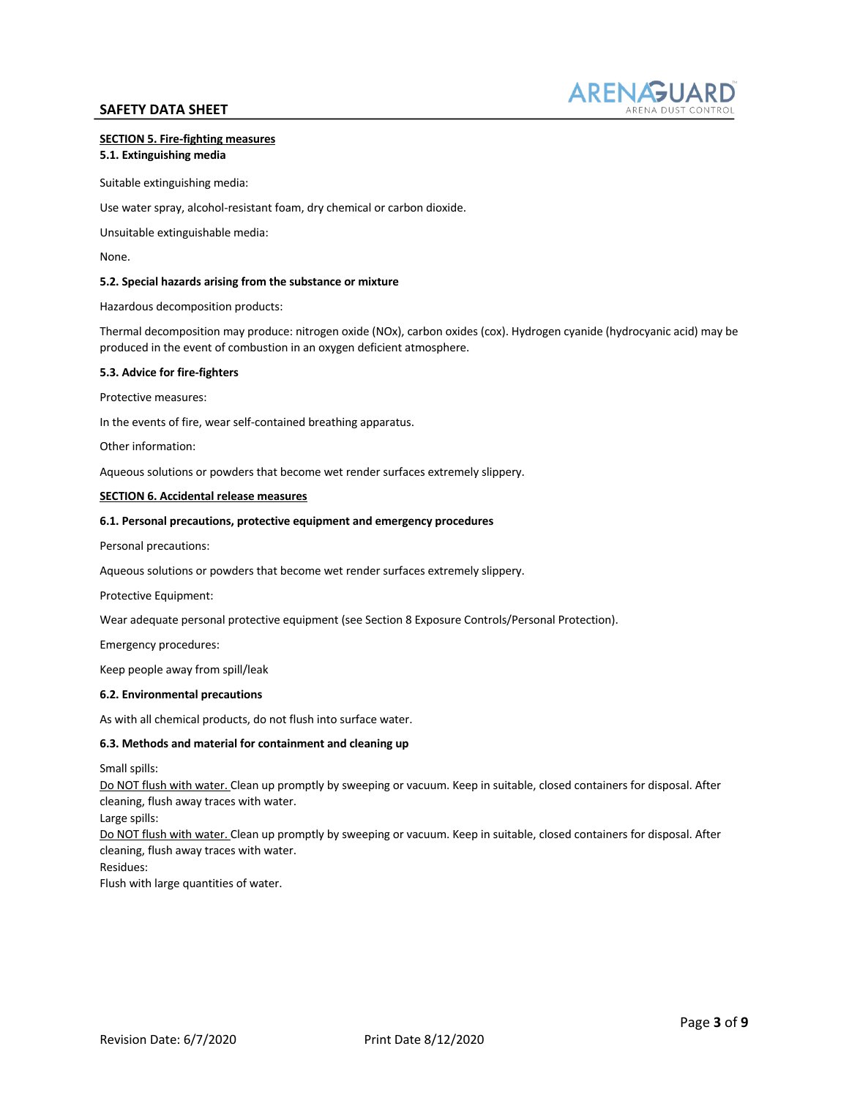

# **SECTION 5. Fire-fighting measures**

### **5.1. Extinguishing media**

Suitable extinguishing media:

Use water spray, alcohol-resistant foam, dry chemical or carbon dioxide.

Unsuitable extinguishable media:

None.

#### **5.2. Special hazards arising from the substance or mixture**

Hazardous decomposition products:

Thermal decomposition may produce: nitrogen oxide (NOx), carbon oxides (cox). Hydrogen cyanide (hydrocyanic acid) may be produced in the event of combustion in an oxygen deficient atmosphere.

#### **5.3. Advice for fire-fighters**

Protective measures:

In the events of fire, wear self-contained breathing apparatus.

Other information:

Aqueous solutions or powders that become wet render surfaces extremely slippery.

#### **SECTION 6. Accidental release measures**

#### **6.1. Personal precautions, protective equipment and emergency procedures**

Personal precautions:

Aqueous solutions or powders that become wet render surfaces extremely slippery.

Protective Equipment:

Wear adequate personal protective equipment (see Section 8 Exposure Controls/Personal Protection).

Emergency procedures:

Keep people away from spill/leak

#### **6.2. Environmental precautions**

As with all chemical products, do not flush into surface water.

#### **6.3. Methods and material for containment and cleaning up**

Small spills:

Do NOT flush with water. Clean up promptly by sweeping or vacuum. Keep in suitable, closed containers for disposal. After cleaning, flush away traces with water.

Large spills:

Do NOT flush with water. Clean up promptly by sweeping or vacuum. Keep in suitable, closed containers for disposal. After cleaning, flush away traces with water.

Residues:

Flush with large quantities of water.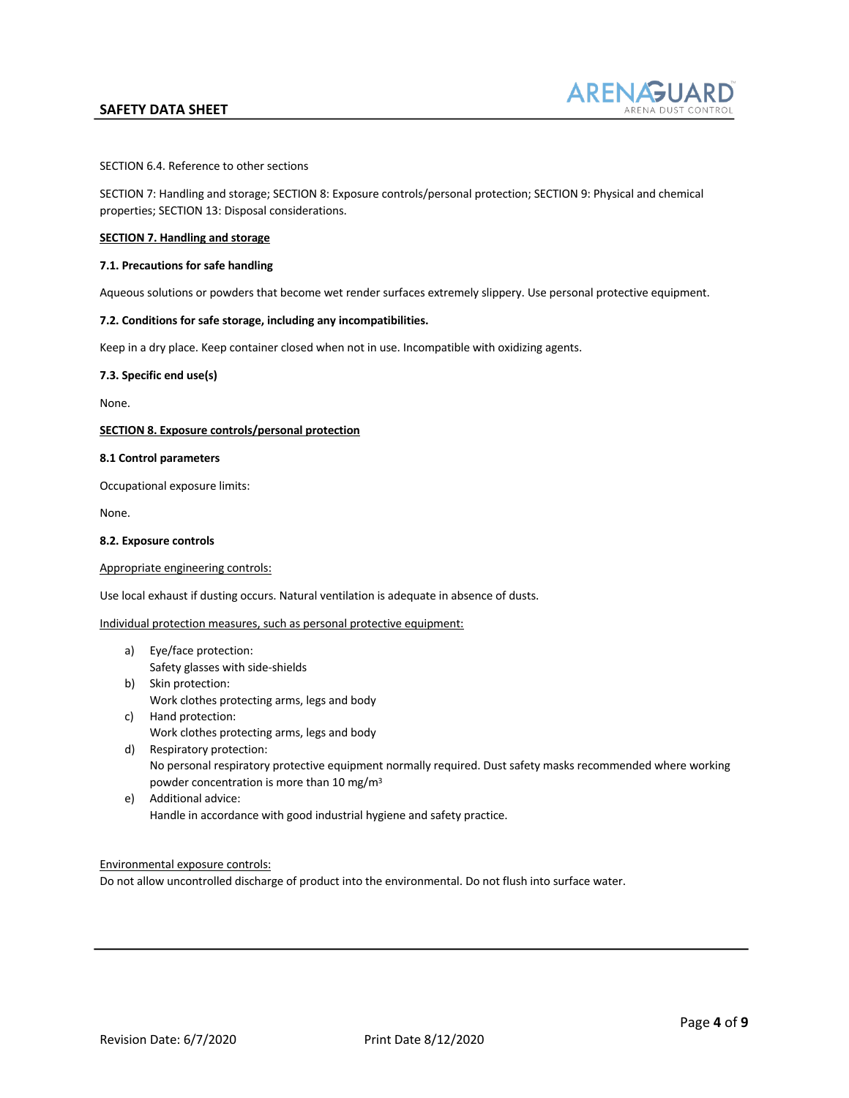

SECTION 6.4. Reference to other sections

SECTION 7: Handling and storage; SECTION 8: Exposure controls/personal protection; SECTION 9: Physical and chemical properties; SECTION 13: Disposal considerations.

### **SECTION 7. Handling and storage**

### **7.1. Precautions for safe handling**

Aqueous solutions or powders that become wet render surfaces extremely slippery. Use personal protective equipment.

### **7.2. Conditions for safe storage, including any incompatibilities.**

Keep in a dry place. Keep container closed when not in use. Incompatible with oxidizing agents.

#### **7.3. Specific end use(s)**

None.

#### **SECTION 8. Exposure controls/personal protection**

### **8.1 Control parameters**

Occupational exposure limits:

None.

#### **8.2. Exposure controls**

Appropriate engineering controls:

Use local exhaust if dusting occurs. Natural ventilation is adequate in absence of dusts.

#### Individual protection measures, such as personal protective equipment:

- a) Eye/face protection: Safety glasses with side-shields
- b) Skin protection: Work clothes protecting arms, legs and body
- c) Hand protection: Work clothes protecting arms, legs and body
- d) Respiratory protection: No personal respiratory protective equipment normally required. Dust safety masks recommended where working powder concentration is more than 10 mg/m3
- e) Additional advice: Handle in accordance with good industrial hygiene and safety practice.

### Environmental exposure controls:

Do not allow uncontrolled discharge of product into the environmental. Do not flush into surface water.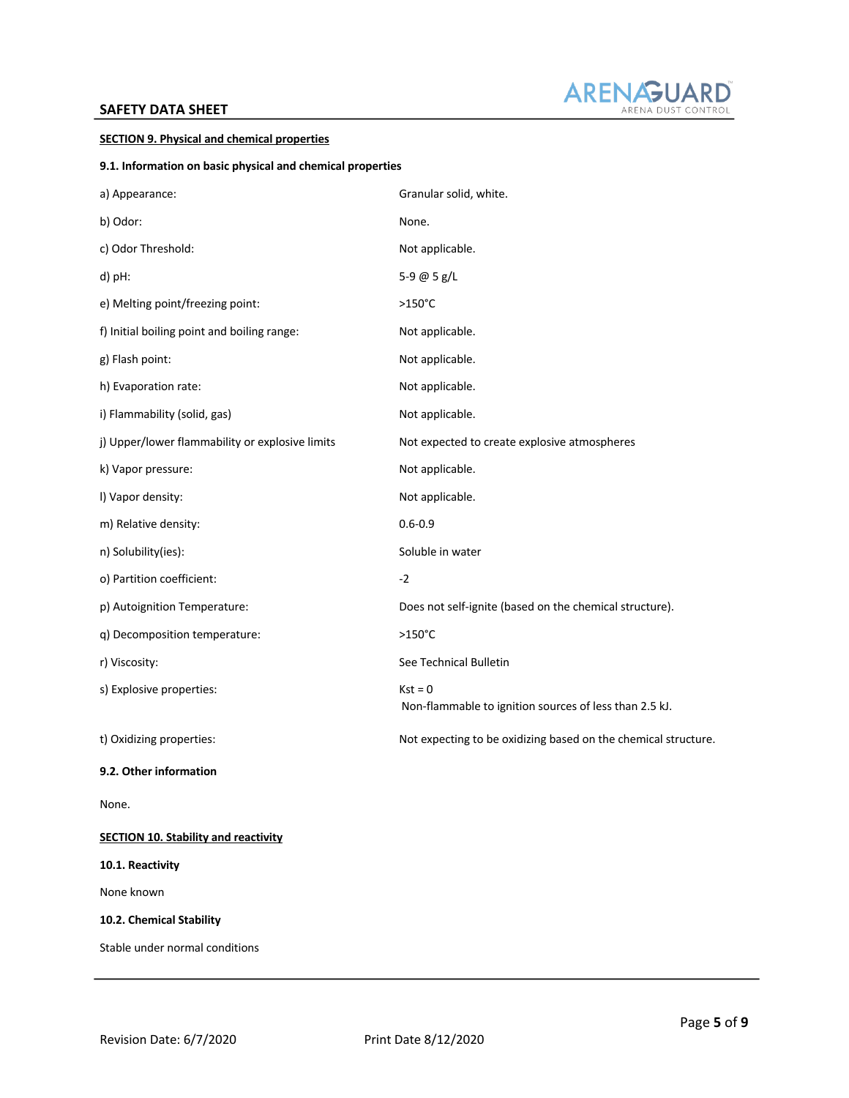

### **SECTION 9. Physical and chemical properties**

### **9.1. Information on basic physical and chemical properties**

| a) Appearance:                                  | Granular solid, white.                                              |
|-------------------------------------------------|---------------------------------------------------------------------|
| b) Odor:                                        | None.                                                               |
| c) Odor Threshold:                              | Not applicable.                                                     |
| d) pH:                                          | 5-9 @ 5 g/L                                                         |
| e) Melting point/freezing point:                | $>150^{\circ}$ C                                                    |
| f) Initial boiling point and boiling range:     | Not applicable.                                                     |
| g) Flash point:                                 | Not applicable.                                                     |
| h) Evaporation rate:                            | Not applicable.                                                     |
| i) Flammability (solid, gas)                    | Not applicable.                                                     |
| j) Upper/lower flammability or explosive limits | Not expected to create explosive atmospheres                        |
| k) Vapor pressure:                              | Not applicable.                                                     |
| I) Vapor density:                               | Not applicable.                                                     |
| m) Relative density:                            | $0.6 - 0.9$                                                         |
| n) Solubility(ies):                             | Soluble in water                                                    |
| o) Partition coefficient:                       | $-2$                                                                |
| p) Autoignition Temperature:                    | Does not self-ignite (based on the chemical structure).             |
| q) Decomposition temperature:                   | $>150^{\circ}$ C                                                    |
| r) Viscosity:                                   | See Technical Bulletin                                              |
| s) Explosive properties:                        | $Kst = 0$<br>Non-flammable to ignition sources of less than 2.5 kJ. |
| t) Oxidizing properties:                        | Not expecting to be oxidizing based on the chemical structure.      |
| 9.2. Other information                          |                                                                     |
| None.                                           |                                                                     |
| <b>SECTION 10. Stability and reactivity</b>     |                                                                     |
| 10.1. Reactivity                                |                                                                     |
| None known                                      |                                                                     |

**10.2. Chemical Stability**

Stable under normal conditions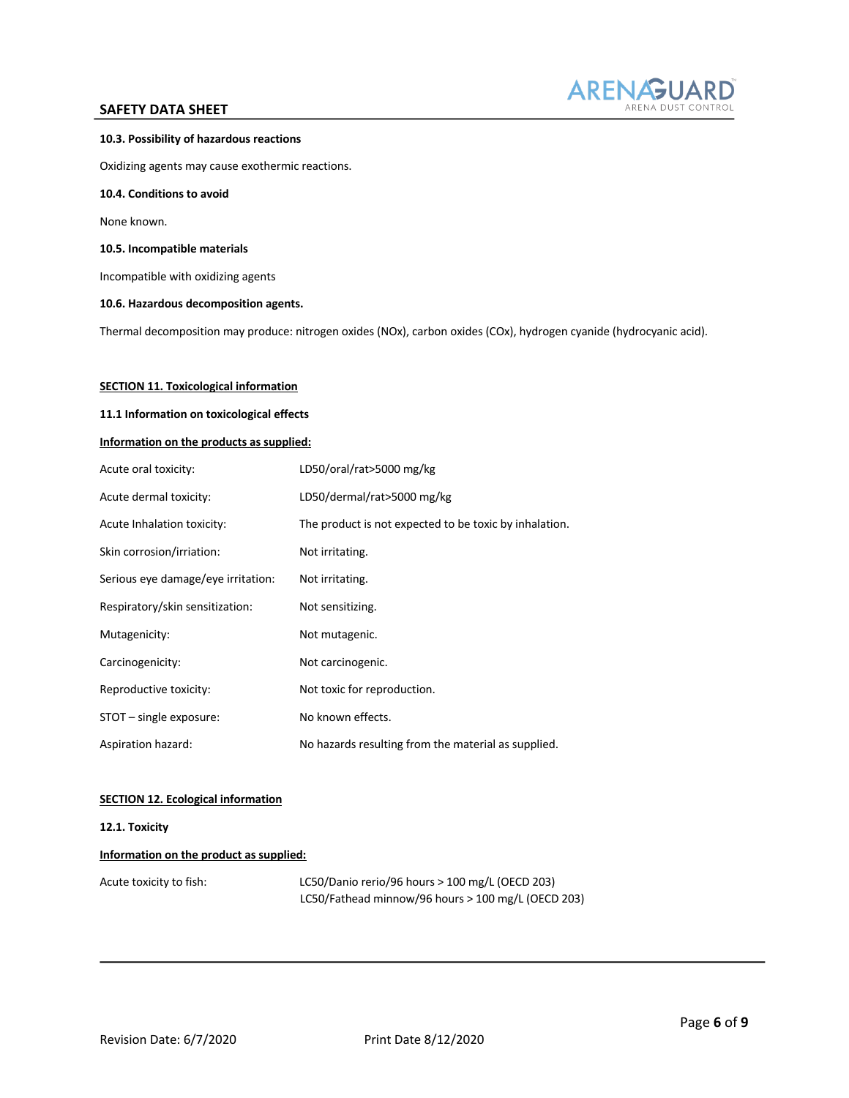

#### **10.3. Possibility of hazardous reactions**

Oxidizing agents may cause exothermic reactions.

#### **10.4. Conditions to avoid**

None known.

#### **10.5. Incompatible materials**

Incompatible with oxidizing agents

**10.6. Hazardous decomposition agents.** 

Thermal decomposition may produce: nitrogen oxides (NOx), carbon oxides (COx), hydrogen cyanide (hydrocyanic acid).

### **SECTION 11. Toxicological information**

### **11.1 Information on toxicological effects**

### **Information on the products as supplied:**

| Acute oral toxicity:               | LD50/oral/rat>5000 mg/kg                               |
|------------------------------------|--------------------------------------------------------|
| Acute dermal toxicity:             | LD50/dermal/rat>5000 mg/kg                             |
| Acute Inhalation toxicity:         | The product is not expected to be toxic by inhalation. |
| Skin corrosion/irriation:          | Not irritating.                                        |
| Serious eye damage/eye irritation: | Not irritating.                                        |
| Respiratory/skin sensitization:    | Not sensitizing.                                       |
| Mutagenicity:                      | Not mutagenic.                                         |
| Carcinogenicity:                   | Not carcinogenic.                                      |
| Reproductive toxicity:             | Not toxic for reproduction.                            |
| STOT - single exposure:            | No known effects.                                      |
| Aspiration hazard:                 | No hazards resulting from the material as supplied.    |

### **SECTION 12. Ecological information**

#### **12.1. Toxicity**

### **Information on the product as supplied:**

| Acute toxicity to fish: | LC50/Danio rerio/96 hours $>$ 100 mg/L (OECD 203)  |
|-------------------------|----------------------------------------------------|
|                         | LC50/Fathead minnow/96 hours > 100 mg/L (OECD 203) |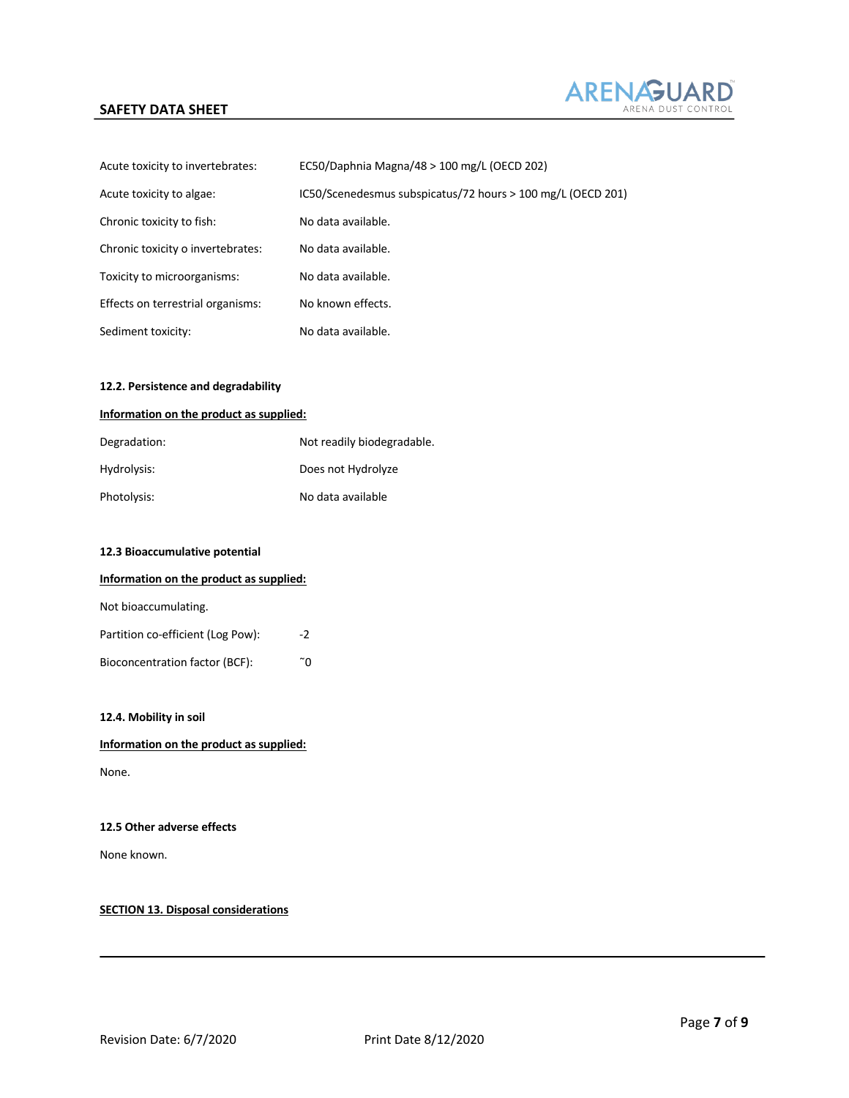

| Acute toxicity to invertebrates:  | EC50/Daphnia Magna/48 $>$ 100 mg/L (OECD 202)               |
|-----------------------------------|-------------------------------------------------------------|
| Acute toxicity to algae:          | IC50/Scenedesmus subspicatus/72 hours > 100 mg/L (OECD 201) |
| Chronic toxicity to fish:         | No data available.                                          |
| Chronic toxicity o invertebrates: | No data available.                                          |
| Toxicity to microorganisms:       | No data available.                                          |
| Effects on terrestrial organisms: | No known effects.                                           |
| Sediment toxicity:                | No data available.                                          |

### **12.2. Persistence and degradability**

#### **Information on the product as supplied:**

| Degradation: | Not readily biodegradable. |
|--------------|----------------------------|
| Hydrolysis:  | Does not Hydrolyze         |
| Photolysis:  | No data available          |

### **12.3 Bioaccumulative potential**

### **Information on the product as supplied:**

| Not bioaccumulating. |  |
|----------------------|--|
|----------------------|--|

| Partition co-efficient (Log Pow): | $-2$ |
|-----------------------------------|------|
| Bioconcentration factor (BCF):    | ~∩   |

### **12.4. Mobility in soil**

### **Information on the product as supplied:**

None.

### **12.5 Other adverse effects**

None known.

### **SECTION 13. Disposal considerations**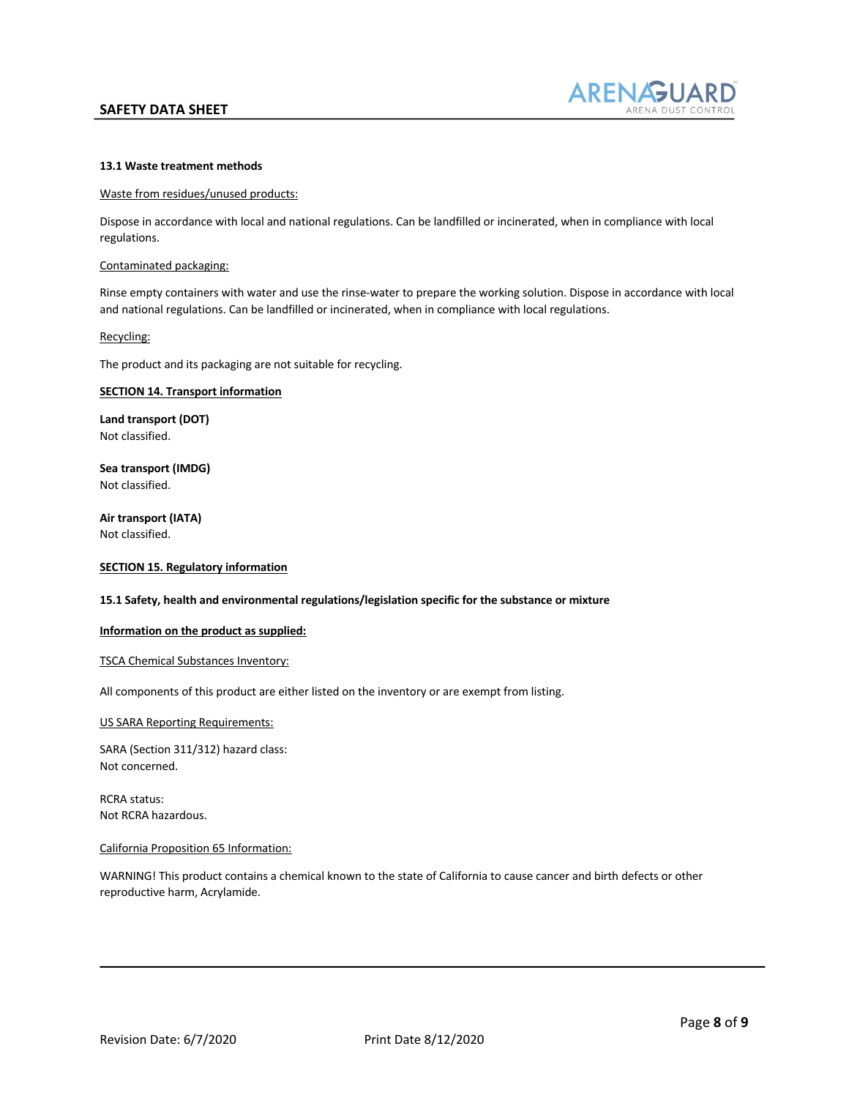

### **13.1 Waste treatment methods**

#### Waste from residues/unused products:

Dispose in accordance with local and national regulations. Can be landfilled or incinerated, when in compliance with local regulations.

#### Contaminated packaging:

Rinse empty containers with water and use the rinse-water to prepare the working solution. Dispose in accordance with local and national regulations. Can be landfilled or incinerated, when in compliance with local regulations.

### Recycling:

The product and its packaging are not suitable for recycling.

### **SECTION 14. Transport information**

**Land transport (DOT)** Not classified.

**Sea transport (IMDG)** Not classified.

**Air transport (IATA)** Not classified.

#### **SECTION 15. Regulatory information**

#### **15.1 Safety, health and environmental regulations/legislation specific for the substance or mixture**

#### **Information on the product as supplied:**

### TSCA Chemical Substances Inventory:

All components of this product are either listed on the inventory or are exempt from listing.

#### US SARA Reporting Requirements:

SARA (Section 311/312) hazard class: Not concerned.

RCRA status: Not RCRA hazardous.

#### California Proposition 65 Information:

WARNING! This product contains a chemical known to the state of California to cause cancer and birth defects or other reproductive harm, Acrylamide.